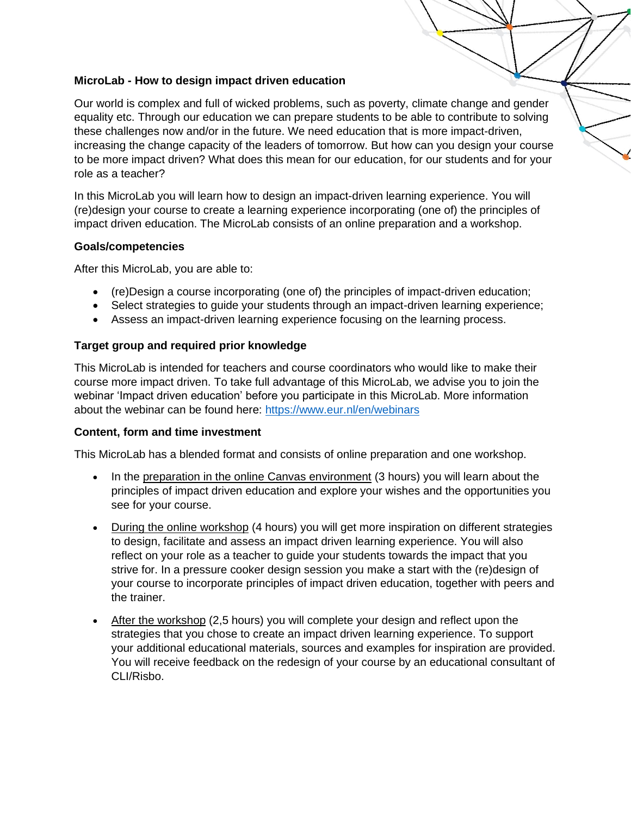# **MicroLab - How to design impact driven education**

Our world is complex and full of wicked problems, such as poverty, climate change and gender equality etc. Through our education we can prepare students to be able to contribute to solving these challenges now and/or in the future. We need education that is more impact-driven, increasing the change capacity of the leaders of tomorrow. But how can you design your course to be more impact driven? What does this mean for our education, for our students and for your role as a teacher?

In this MicroLab you will learn how to design an impact-driven learning experience. You will (re)design your course to create a learning experience incorporating (one of) the principles of impact driven education. The MicroLab consists of an online preparation and a workshop.

# **Goals/competencies**

After this MicroLab, you are able to:

- (re)Design a course incorporating (one of) the principles of impact-driven education;
- Select strategies to guide your students through an impact-driven learning experience;
- Assess an impact-driven learning experience focusing on the learning process.

# **Target group and required prior knowledge**

This MicroLab is intended for teachers and course coordinators who would like to make their course more impact driven. To take full advantage of this MicroLab, we advise you to join the webinar 'Impact driven education' before you participate in this MicroLab. More information about the webinar can be found here:<https://www.eur.nl/en/webinars>

# **Content, form and time investment**

This MicroLab has a blended format and consists of online preparation and one workshop.

- In the preparation in the online Canvas environment (3 hours) you will learn about the principles of impact driven education and explore your wishes and the opportunities you see for your course.
- During the online workshop (4 hours) you will get more inspiration on different strategies to design, facilitate and assess an impact driven learning experience. You will also reflect on your role as a teacher to guide your students towards the impact that you strive for. In a pressure cooker design session you make a start with the (re)design of your course to incorporate principles of impact driven education, together with peers and the trainer.
- After the workshop (2,5 hours) you will complete your design and reflect upon the strategies that you chose to create an impact driven learning experience. To support your additional educational materials, sources and examples for inspiration are provided. You will receive feedback on the redesign of your course by an educational consultant of CLI/Risbo.